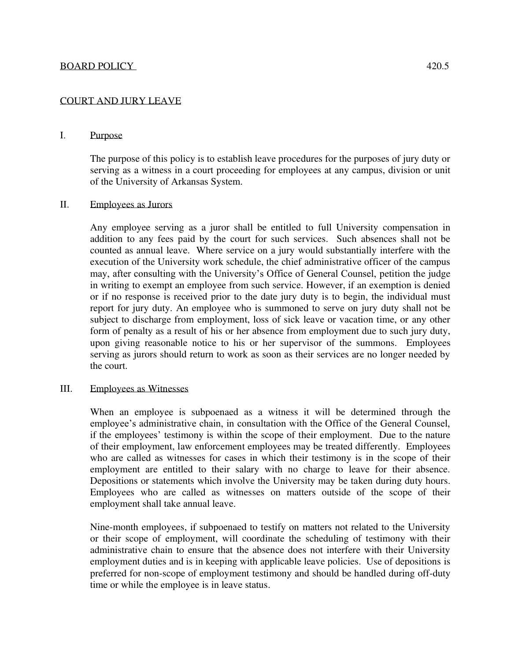## COURT AND JURY LEAVE

### I. Purpose

The purpose of this policy is to establish leave procedures for the purposes of jury duty or serving as a witness in a court proceeding for employees at any campus, division or unit of the University of Arkansas System.

### II. Employees as Jurors

Any employee serving as a juror shall be entitled to full University compensation in addition to any fees paid by the court for such services. Such absences shall not be counted as annual leave. Where service on a jury would substantially interfere with the execution of the University work schedule, the chief administrative officer of the campus may, after consulting with the University's Office of General Counsel, petition the judge in writing to exempt an employee from such service. However, if an exemption is denied or if no response is received prior to the date jury duty is to begin, the individual must report for jury duty. An employee who is summoned to serve on jury duty shall not be subject to discharge from employment, loss of sick leave or vacation time, or any other form of penalty as a result of his or her absence from employment due to such jury duty, upon giving reasonable notice to his or her supervisor of the summons. Employees serving as jurors should return to work as soon as their services are no longer needed by the court.

#### III. Employees as Witnesses

When an employee is subpoenaed as a witness it will be determined through the employee's administrative chain, in consultation with the Office of the General Counsel, if the employees' testimony is within the scope of their employment. Due to the nature of their employment, law enforcement employees may be treated differently. Employees who are called as witnesses for cases in which their testimony is in the scope of their employment are entitled to their salary with no charge to leave for their absence. Depositions or statements which involve the University may be taken during duty hours. Employees who are called as witnesses on matters outside of the scope of their employment shall take annual leave.

Nine-month employees, if subpoenaed to testify on matters not related to the University or their scope of employment, will coordinate the scheduling of testimony with their administrative chain to ensure that the absence does not interfere with their University employment duties and is in keeping with applicable leave policies. Use of depositions is preferred for non-scope of employment testimony and should be handled during off-duty time or while the employee is in leave status.